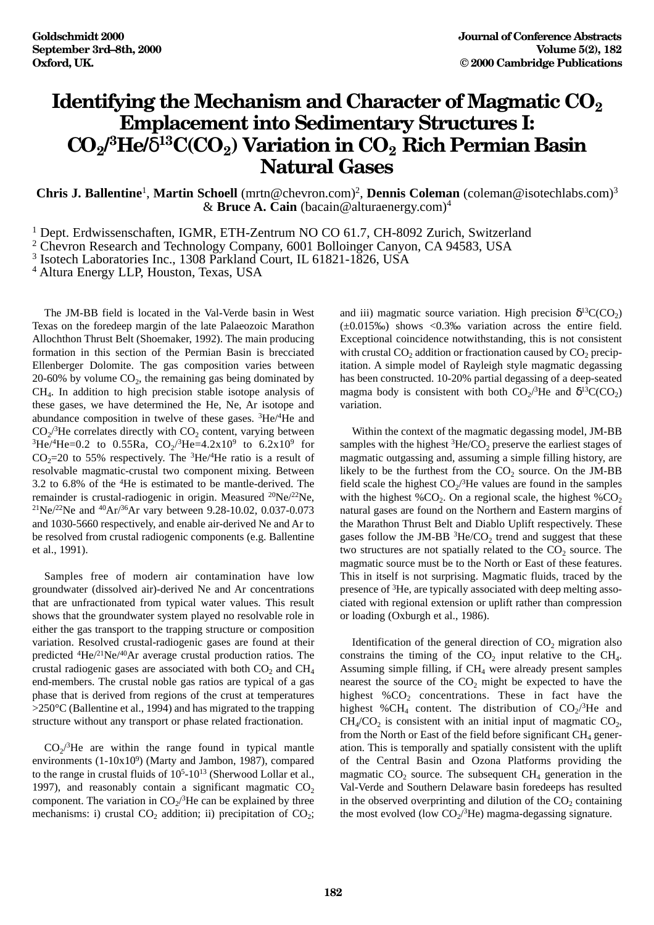## **Identifying the Mechanism and Character of Magmatic CO<sub>2</sub> Emplacement into Sedimentary Structures I: CO2/ 3He/**δ**13C(CO2) Variation in CO2 Rich Permian Basin Natural Gases**

Chris J. Ballentine<sup>1</sup>, Martin Schoell (mrtn@chevron.com)<sup>2</sup>, Dennis Coleman (coleman@isotechlabs.com)<sup>3</sup> & **Bruce A. Cain** (bacain@alturaenergy.com)4

<sup>1</sup> Dept. Erdwissenschaften, IGMR, ETH-Zentrum NO CO 61.7, CH-8092 Zurich, Switzerland

<sup>2</sup> Chevron Research and Technology Company, 6001 Bolloinger Canyon, CA 94583, USA

<sup>3</sup> Isotech Laboratories Inc., 1308 Parkland Court, IL 61821-1826, USA

<sup>4</sup> Altura Energy LLP, Houston, Texas, USA

The JM-BB field is located in the Val-Verde basin in West Texas on the foredeep margin of the late Palaeozoic Marathon Allochthon Thrust Belt (Shoemaker, 1992). The main producing formation in this section of the Permian Basin is brecciated Ellenberger Dolomite. The gas composition varies between  $20-60\%$  by volume  $CO<sub>2</sub>$ , the remaining gas being dominated by CH4. In addition to high precision stable isotope analysis of these gases, we have determined the He, Ne, Ar isotope and abundance composition in twelve of these gases. 3He/4He and  $CO<sub>2</sub>/<sup>3</sup>$ He correlates directly with  $CO<sub>2</sub>$  content, varying between  ${}^{3}\text{He}/{}^{4}\text{He} = 0.2$  to 0.55Ra,  $CO_{2}/{}^{3}\text{He} = 4.2 \times 10^{9}$  to 6.2x10<sup>9</sup> for  $CO<sub>2</sub>=20$  to 55% respectively. The <sup>3</sup>He/<sup>4</sup>He ratio is a result of resolvable magmatic-crustal two component mixing. Between 3.2 to 6.8% of the 4He is estimated to be mantle-derived. The remainder is crustal-radiogenic in origin. Measured 20Ne/22Ne, 21Ne/22Ne and 40Ar/36Ar vary between 9.28-10.02, 0.037-0.073 and 1030-5660 respectively, and enable air-derived Ne and Ar to be resolved from crustal radiogenic components (e.g. Ballentine et al., 1991).

Samples free of modern air contamination have low groundwater (dissolved air)-derived Ne and Ar concentrations that are unfractionated from typical water values. This result shows that the groundwater system played no resolvable role in either the gas transport to the trapping structure or composition variation. Resolved crustal-radiogenic gases are found at their predicted 4He/21Ne/40Ar average crustal production ratios. The crustal radiogenic gases are associated with both  $CO<sub>2</sub>$  and  $CH<sub>4</sub>$ end-members. The crustal noble gas ratios are typical of a gas phase that is derived from regions of the crust at temperatures  $>250^{\circ}$ C (Ballentine et al., 1994) and has migrated to the trapping structure without any transport or phase related fractionation.

 $CO_2$ <sup>3</sup>He are within the range found in typical mantle environments (1-10x10<sup>9</sup>) (Marty and Jambon, 1987), compared to the range in crustal fluids of  $10<sup>5</sup>$ -10<sup>13</sup> (Sherwood Lollar et al., 1997), and reasonably contain a significant magmatic  $CO<sub>2</sub>$ component. The variation in  $CO_2$ <sup>3</sup>He can be explained by three mechanisms: i) crustal  $CO<sub>2</sub>$  addition; ii) precipitation of  $CO<sub>2</sub>$ ;

and iii) magmatic source variation. High precision  $\delta^{13}C(CO_2)$ (±0.015‰) shows <0.3‰ variation across the entire field. Exceptional coincidence notwithstanding, this is not consistent with crustal  $CO<sub>2</sub>$  addition or fractionation caused by  $CO<sub>2</sub>$  precipitation. A simple model of Rayleigh style magmatic degassing has been constructed. 10-20% partial degassing of a deep-seated magma body is consistent with both  $CO_2$ <sup>3</sup>He and  $\delta^{13}C(CO_2)$ variation.

Within the context of the magmatic degassing model, JM-BB samples with the highest  ${}^{3}\text{He/CO}_2$  preserve the earliest stages of magmatic outgassing and, assuming a simple filling history, are likely to be the furthest from the  $CO<sub>2</sub>$  source. On the JM-BB field scale the highest  $CO_2/{}^{3}$ He values are found in the samples with the highest % $CO<sub>2</sub>$ . On a regional scale, the highest % $CO<sub>2</sub>$ natural gases are found on the Northern and Eastern margins of the Marathon Thrust Belt and Diablo Uplift respectively. These gases follow the JM-BB  ${}^{3}$ He/CO<sub>2</sub> trend and suggest that these two structures are not spatially related to the  $CO<sub>2</sub>$  source. The magmatic source must be to the North or East of these features. This in itself is not surprising. Magmatic fluids, traced by the presence of 3He, are typically associated with deep melting associated with regional extension or uplift rather than compression or loading (Oxburgh et al., 1986).

Identification of the general direction of  $CO<sub>2</sub>$  migration also constrains the timing of the  $CO<sub>2</sub>$  input relative to the  $CH<sub>4</sub>$ . Assuming simple filling, if  $CH<sub>4</sub>$  were already present samples nearest the source of the  $CO<sub>2</sub>$  might be expected to have the highest  $\%CO_2$  concentrations. These in fact have the highest %CH<sub>4</sub> content. The distribution of  $CO_2$ <sup>3</sup>He and  $CH<sub>4</sub>/CO<sub>2</sub>$  is consistent with an initial input of magmatic  $CO<sub>2</sub>$ , from the North or East of the field before significant  $CH_4$  generation. This is temporally and spatially consistent with the uplift of the Central Basin and Ozona Platforms providing the magmatic  $CO<sub>2</sub>$  source. The subsequent  $CH<sub>4</sub>$  generation in the Val-Verde and Southern Delaware basin foredeeps has resulted in the observed overprinting and dilution of the  $CO<sub>2</sub>$  containing the most evolved (low  $CO_2$ <sup>3</sup>He) magma-degassing signature.